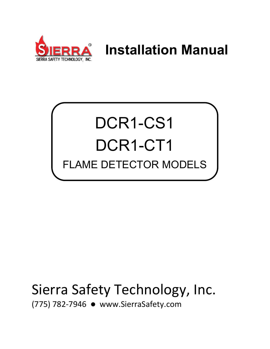

# **Installation Manual**

# DCR1-CS1 DCR1-CT1 FLAME DETECTOR MODELS

# Sierra Safety Technology, Inc.

(775) 782-7946 [www.SierraSafety.com](http://www.sierrasafety.com/)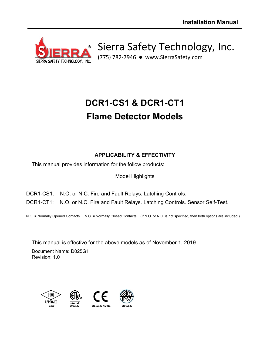

Sierra Safety Technology, Inc.

(775) 782-7946 [www.SierraSafety.com](http://www.sierrasafety.com/)

# **DCR1-CS1 & DCR1-CT1 Flame Detector Models**

# **APPLICABILITY & EFFECTIVITY**

This manual provides information for the follow products:

# Model Highlights

DCR1-CS1: N.O. or N.C. Fire and Fault Relays. Latching Controls. DCR1-CT1: N.O. or N.C. Fire and Fault Relays. Latching Controls. Sensor Self-Test.

N.O. = Normally Opened Contacts N.C. = Normally Closed Contacts (If N.O. or N.C. is not specified, then both options are included.)

This manual is effective for the above models as of November 1, 2019

Document Name: D025G1 Revision: 1.0

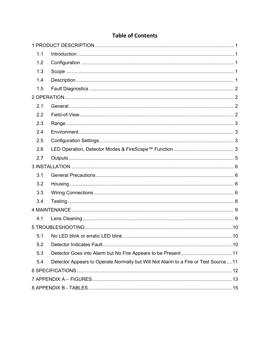# **Table of Contents**

| 1.1 |                                                                                      |  |
|-----|--------------------------------------------------------------------------------------|--|
| 1.2 |                                                                                      |  |
| 1.3 |                                                                                      |  |
| 1.4 |                                                                                      |  |
| 1.5 |                                                                                      |  |
|     |                                                                                      |  |
| 2.1 |                                                                                      |  |
| 2.2 |                                                                                      |  |
| 2.3 |                                                                                      |  |
| 2.4 |                                                                                      |  |
| 2.5 |                                                                                      |  |
| 2.6 |                                                                                      |  |
| 2.7 |                                                                                      |  |
|     |                                                                                      |  |
| 3.1 |                                                                                      |  |
| 3.2 |                                                                                      |  |
| 3.3 |                                                                                      |  |
| 3.4 |                                                                                      |  |
|     |                                                                                      |  |
| 4.1 |                                                                                      |  |
|     |                                                                                      |  |
| 5.1 |                                                                                      |  |
| 5.2 |                                                                                      |  |
| 5.3 | Detector Goes into Alarm but No Fire Appears to be Present 11                        |  |
| 5.4 | Detector Appears to Operate Normally but Will Not Alarm to a Fire or Test Source  11 |  |
|     |                                                                                      |  |
|     |                                                                                      |  |
|     |                                                                                      |  |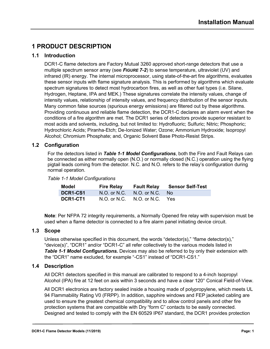# <span id="page-6-0"></span>**1 PRODUCT DESCRIPTION**

#### <span id="page-6-1"></span>**1.1 Introduction**

DCR1-C flame detectors are Factory Mutual 3260 approved short-range detectors that use a multiple spectrum sensor array (see *[FIGURE 7-2](#page-18-1)*) to sense temperature, ultraviolet (UV) and infrared (IR) energy. The internal microprocessor, using state-of-the-art fire algorithms, evaluates these sensor inputs with flame signature analysis. This is performed by algorithms which evaluate spectrum signatures to detect most hydrocarbon fires, as well as other fuel types (i.e. Silane, Hydrogen, Heptane, IPA and MEK.) These signatures correlate the intensity values, change of intensity values, relationship of intensity values, and frequency distribution of the sensor inputs. Many common false sources (spurious energy emissions) are filtered out by these algorithms. Providing continuous and reliable flame detection, the DCR1-C declares an alarm event when the conditions of a fire algorithm are met. The DCR1 series of detectors provide superior resistant to most acids and solvents, including, but not limited to: Hydrofluoric; Sulfuric; Nitric; Phosphoric; Hydrochloric Acids; Piranha-Etch; De-Ionized Water; Ozone; Ammonium Hydroxide; Isopropyl Alcohol; Chromium Phosphate; and, Organic Solvent Base Photo-Resist Strips.

#### <span id="page-6-2"></span>**1.2 Configuration**

For the detectors listed in *[Table 1-1 Model Configurations](#page-6-5)*, both the Fire and Fault Relays can be connected as either normally open (N.O.) or normally closed (N.C.) operation using the flying pigtail leads coming from the detector. N.C. and N.O. refers to the relay's configuration during normal operation.

<span id="page-6-5"></span>

| Model           | <b>Fire Relay</b> |                               | <b>Fault Relay Sensor Self-Test</b> |
|-----------------|-------------------|-------------------------------|-------------------------------------|
| <b>DCR1-CS1</b> | $N.O.$ or $N.C.$  | N.O. or N.C. No               |                                     |
| DCR1-CT1        |                   | N.O. or N.C. N.O. or N.C. Yes |                                     |

**Note**: Per NFPA 72 integrity requirements, a Normally Opened fire relay with supervision must be used when a flame detector is connected to a fire alarm panel initiating device circuit.

#### <span id="page-6-3"></span>**1.3 Scope**

Unless otherwise specified in this document, the words "detector(s)," "flame detector(s)," "device(s)", "DCR1" and/or "DCR1-C" all refer collectively to the various models listed in *Table [1-1 Model Configurations.](#page-6-5)* Devices may also be referred to by only their extension with the "DCR1" name excluded, for example "-CS1" instead of "DCR1-CS1."

#### <span id="page-6-4"></span>**1.4 Description**

All DCR1 detectors specified in this manual are calibrated to respond to a 4-inch Isopropyl Alcohol (IPA) fire at 12 feet on axis within 3 seconds and have a clear 120° Conical Field-of-View.

All DCR1 electronics are factory sealed inside a housing made of polypropylene, which meets UL 94 Flammability Rating V0 (FRPP). In addition, sapphire windows and FEP jacketed cabling are used to ensure the greatest chemical compatibility and to allow control panels and other fire protection systems that are compatible with Dry "form C" contacts to be easily connected. Designed and tested to comply with the EN 60529 IP67 standard, the DCR1 provides protection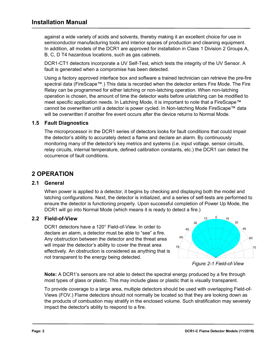against a wide variety of acids and solvents, thereby making it an excellent choice for use in semiconductor manufacturing tools and interior spaces of production and cleaning equipment. In addition, all models of the DCR1 are approved for installation in Class 1 Division 2 Groups A, B, C, D T4 hazardous locations, such as gas cabinets.

DCR1-CT1 detectors incorporate a UV Self-Test, which tests the integrity of the UV Sensor. A fault is generated when a compromise has been detected.

Using a factory approved interface box and software a trained technician can retrieve the pre-fire spectral data (FireScape™.) This data is recorded when the detector enters Fire Mode. The Fire Relay can be programmed for either latching or non-latching operation. When non-latching operation is chosen, the amount of time the detector waits before unlatching can be modified to meet specific application needs. In Latching Mode, it is important to note that a FireScape™ cannot be overwritten until a detector is power cycled. In Non-latching Mode FireScape™ data will be overwritten if another fire event occurs after the device returns to Normal Mode.

#### <span id="page-7-0"></span>**1.5 Fault Diagnostics**

The microprocessor in the DCR1 series of detectors looks for fault conditions that could impair the detector's ability to accurately detect a flame and declare an alarm. By continuously monitoring many of the detector's key metrics and systems (i.e. input voltage, sensor circuits, relay circuits, internal temperature, defined calibration constants, etc.) the DCR1 can detect the occurrence of fault conditions.

# <span id="page-7-1"></span>**2 OPERATION**

#### <span id="page-7-2"></span>**2.1 General**

When power is applied to a detector, it begins by checking and displaying both the model and latching configurations. Next, the detector is initialized, and a series of self-tests are performed to ensure the detector is functioning properly. Upon successful completion of Power Up Mode, the DCR1 will go into Normal Mode (which means it is ready to detect a fire.)

#### <span id="page-7-3"></span>**2.2 Field-of-View**

DCR1 detectors have a 120° Field-of-View. In order to declare an alarm, a detector must be able to "see" a fire. Any obstruction between the detector and the threat area will impair the detector's ability to cover the threat area effectively. An obstruction is considered as anything that is not transparent to the energy being detected.



<span id="page-7-4"></span>

**Note:** A DCR1's sensors are not able to detect the spectral energy produced by a fire through most types of glass or plastic. This may include glass or plastic that is visually transparent.

To provide coverage to a large area, multiple detectors should be used with overlapping Field-of-Views (FOV.) Flame detectors should not normally be located so that they are looking down as the products of combustion may stratify in the enclosed volume. Such stratification may severely impact the detector's ability to respond to a fire.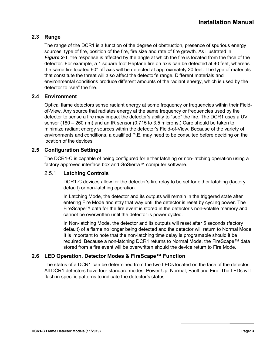#### <span id="page-8-0"></span>**2.3 Range**

The range of the DCR1 is a function of the degree of obstruction, presence of spurious energy sources, type of fire, position of the fire, fire size and rate of fire growth. As illustrated in *[Figure](#page-7-4) 2-1,* the response is affected by the angle at which the fire is located from the face of the detector. For example, a 1 square foot Heptane fire on axis can be detected at 40 feet, whereas the same fire located 60° off axis will be detected at approximately 20 feet. The type of materials that constitute the threat will also affect the detector's range. Different materials and environmental conditions produce different amounts of the radiant energy, which is used by the detector to "see" the fire.

#### <span id="page-8-1"></span>**2.4 Environment**

Optical flame detectors sense radiant energy at some frequency or frequencies within their Fieldof-View. Any source that radiates energy at the same frequency or frequencies used by the detector to sense a fire may impact the detector's ability to "see" the fire. The DCR1 uses a UV sensor (180 – 260 nm) and an IR sensor (0.715 to 3.5 microns.) Care should be taken to minimize radiant energy sources within the detector's Field-of-View. Because of the variety of environments and conditions, a qualified P.E. may need to be consulted before deciding on the location of the devices.

#### <span id="page-8-2"></span>**2.5 Configuration Settings**

The DCR1-C is capable of being configured for either latching or non-latching operation using a factory approved interface box and GoSierra™ computer software.

#### 2.5.1 **Latching Controls**

DCR1-C devices allow for the detector's fire relay to be set for either latching (factory default) or non-latching operation.

In Latching Mode, the detector and its outputs will remain in the triggered state after entering Fire Mode and stay that way until the detector is reset by cycling power. The FireScape™ data for the fire event is stored in the detector's non-volatile memory and cannot be overwritten until the detector is power cycled.

In Non-latching Mode, the detector and its outputs will reset after 5 seconds (factory default) of a flame no longer being detected and the detector will return to Normal Mode. It is important to note that the non-latching time delay is programable should it be required. Because a non-latching DCR1 returns to Normal Mode, the FireScape™ data stored from a fire event will be overwritten should the device return to Fire Mode.

#### <span id="page-8-3"></span>**2.6 LED Operation, Detector Modes & FireScape™ Function**

The status of a DCR1 can be determined from the two LEDs located on the face of the detector. All DCR1 detectors have four standard modes: Power Up, Normal, Fault and Fire. The LEDs will flash in specific patterns to indicate the detector's status.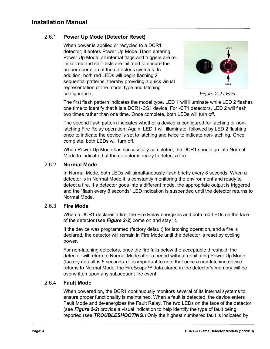#### 2.6.1 **Power Up Mode (Detector Reset)**

When power is applied or recycled to a DCR1 detector, it enters Power Up Mode. Upon entering Power Up Mode, all internal flags and triggers are reinitialized and self-tests are initiated to ensure the proper operation of the detector's systems. In addition, both red LEDs will begin flashing 2 sequential patterns, thereby providing a quick visual representation of the model type and latching configuration.



<span id="page-9-0"></span>

The first flash pattern indicates the model type. LED 1 will illuminate while LED 2 flashes one time to identify that it is a DCR1-CS1 device. For -CT1 detectors, LED 2 will flash two times rather than one time. Once complete, both LEDs will turn off.

The second flash pattern indicates whether a device is configured for latching or nonlatching Fire Relay operation. Again, LED 1 will illuminate, followed by LED 2 flashing once to indicate the device is set to latching and twice to indicate non-latching. Once complete, both LEDs will turn off.

When Power Up Mode has successfully completed, the DCR1 should go into Normal Mode to indicate that the detector is ready to detect a fire.

#### 2.6.2 **Normal Mode**

In Normal Mode, both LEDs will simultaneously flash briefly every 8 seconds. When a detector is in Normal Mode it is constantly monitoring the environment and ready to detect a fire. If a detector goes into a different mode, the appropriate output is triggered and the "flash every 8 seconds" LED indication is suspended until the detector returns to Normal Mode.

#### <span id="page-9-2"></span>2.6.3 **Fire Mode**

When a DCR1 declares a fire, the Fire Relay energizes and both red LEDs on the face of the detector (see *[Figure 2-2](#page-9-0)*) come on and stay lit.

If the device was programmed (factory default) for latching operation, and a fire is declared, the detector will remain in Fire Mode until the detector is reset by cycling power.

For non-latching detectors, once the fire falls below the acceptable threshold, the detector will return to Normal Mode after a period without reinitiating Power Up Mode (factory default is 5 seconds.) It is important to note that once a non-latching device returns to Normal Mode, the FireScape™ data stored in the detector's memory will be overwritten upon any subsequent fire event.

#### <span id="page-9-1"></span>2.6.4 **Fault Mode**

When powered on, the DCR1 continuously monitors several of its internal systems to ensure proper functionality is maintained. When a fault is detected, the device enters Fault Mode and de-energizes the Fault Relay. The two LEDs on the face of the detector (see *[Figure 2-2](#page-9-0)*) provide a visual indication to help identify the type of fault being reported (see *[TROUBLESHOOTING](#page-15-0)*.) Only the highest numbered fault is indicated by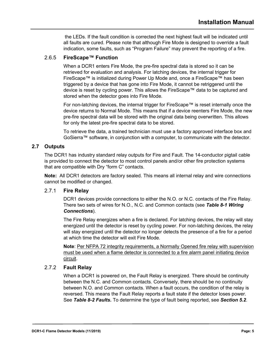the LEDs. If the fault condition is corrected the next highest fault will be indicated until all faults are cured. Please note that although Fire Mode is designed to override a fault indication, some faults, such as "Program Failure" may prevent the reporting of a fire.

#### <span id="page-10-1"></span>2.6.5 **FireScape™ Function**

When a DCR1 enters Fire Mode, the pre-fire spectral data is stored so it can be retrieved for evaluation and analysis. For latching devices, the internal trigger for FireScape™ is initialized during Power Up Mode and, once a FireScape™ has been triggered by a device that has gone into Fire Mode, it cannot be retriggered until the device is reset by cycling power. This allows the FireScape™ data to be captured and stored when the detector goes into Fire Mode.

For non-latching devices, the internal trigger for FireScape™ is reset internally once the device returns to Normal Mode. This means that if a device reenters Fire Mode, the new pre-fire spectral data will be stored with the original data being overwritten. This allows for only the latest pre-fire spectral data to be stored.

To retrieve the data, a trained technician must use a factory approved interface box and GoSierra™ software, in conjunction with a computer, to communicate with the detector.

#### <span id="page-10-0"></span>**2.7 Outputs**

The DCR1 has industry standard relay outputs for Fire and Fault. The 14-conductor pigtail cable is provided to connect the detector to most control panels and/or other fire protection systems that are compatible with Dry "form C" contacts.

**Note:** All DCR1 detectors are factory sealed. This means all internal relay and wire connections cannot be modified or changed.

#### 2.7.1 **Fire Relay**

DCR1 devices provide connections to either the N.O. or N.C. contacts of the Fire Relay. There two sets of wires for N.O., N.C. and Common contacts (see *[Table 8-1 Wiring](#page-20-1)  [Connections](#page-20-1)*).

The Fire Relay energizes when a fire is declared. For latching devices, the relay will stay energized until the detector is reset by cycling power. For non-latching devices, the relay will stay energized until the detector no longer detects the presence of a fire for a period at which time the detector will exit Fire Mode.

**Note**: Per NFPA 72 integrity requirements, a Normally Opened fire relay with supervision must be used when a flame detector is connected to a fire alarm panel initiating device circuit.

#### 2.7.2 **Fault Relay**

When a DCR1 is powered on, the Fault Relay is energized. There should be continuity between the N.C. and Common contacts. Conversely, there should be no continuity between N.O. and Common contacts. When a fault occurs, the condition of the relay is reversed. This means the Fault Relay reports a fault state if the detector loses power. See *[Table 8-2 Faults](#page-20-2)***.** To determine the type of fault being reported, see *Section [5.2](#page-15-2)*.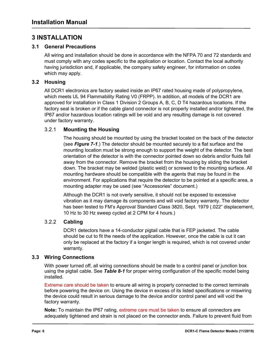# <span id="page-11-0"></span>**3 INSTALLATION**

#### <span id="page-11-1"></span>**3.1 General Precautions**

All wiring and installation should be done in accordance with the NFPA 70 and 72 standards and must comply with any codes specific to the application or location. Contact the local authority having jurisdiction and, if applicable, the company safety engineer, for information on codes which may apply.

#### <span id="page-11-2"></span>**3.2 Housing**

All DCR1 electronics are factory sealed inside an IP67 rated housing made of polypropylene, which meets UL 94 Flammability Rating V0 (FRPP). In addition, all models of the DCR1 are approved for installation in Class 1 Division 2 Groups A, B, C, D T4 hazardous locations. If the factory seal is broken or if the cable gland connector is not properly installed and/or tightened, the IP67 and/or hazardous location ratings will be void and any resulting damage is not covered under factory warranty.

#### 3.2.1 **Mounting the Housing**

The housing should be mounted by using the bracket located on the back of the detector (see *[Figure 7-1](#page-18-2)*.) The detector should be mounted securely to a flat surface and the mounting location must be strong enough to support the weight of the detector. The best orientation of the detector is with the connector pointed down so debris and/or fluids fall away from the connector. Remove the bracket from the housing by sliding the bracket down. The bracket may be welded (plastic weld) or screwed to the mounting surface. All mounting hardware should be compatible with the agents that may be found in the environment. For applications that require the detector to be pointed at a specific area, a mounting adapter may be used (see "Accessories" document.)

Although the DCR1 is not overly sensitive, it should not be exposed to excessive vibration as it may damage its components and will void factory warranty. The detector has been tested to FM's Approval Standard Class 3820, Sept. 1979 (.022" displacement, 10 Hz to 30 Hz sweep cycled at 2 CPM for 4 hours.)

#### 3.2.2 **Cabling**

DCR1 detectors have a 14-conductor pigtail cable that is FEP jacketed. The cable should be cut to fit the needs of the application. However, once the cable is cut it can only be replaced at the factory if a longer length is required, which is not covered under warranty.

#### <span id="page-11-3"></span>**3.3 Wiring Connections**

With power turned off, all wiring connections should be made to a control panel or junction box using the pigtail cable. See *[Table 8-1](#page-20-1)* for proper wiring configuration of the specific model being installed.

Extreme care should be taken to ensure all wiring is properly connected to the correct terminals before powering the device on. Using the device in excess of its listed specifications or miswiring the device could result in serious damage to the device and/or control panel and will void the factory warranty.

**Note:** To maintain the IP67 rating, extreme care must be taken to ensure all connectors are adequately tightened and strain is not placed on the connector ends. Failure to prevent fluid from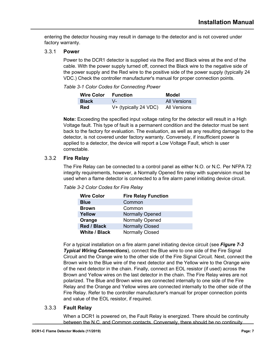entering the detector housing may result in damage to the detector and is not covered under factory warranty.

#### 3.3.1 **Power**

Power to the DCR1 detector is supplied via the Red and Black wires at the end of the cable. With the power supply turned off, connect the Black wire to the negative side of the power supply and the Red wire to the positive side of the power supply (typically 24 VDC.) Check the controller manufacturer's manual for proper connection points.

#### *Table 3-1 Color Codes for Connecting Power*

| <b>Wire Color</b> | Function              | Model        |
|-------------------|-----------------------|--------------|
| <b>Black</b>      | \/_                   | All Versions |
| Red               | V+ (typically 24 VDC) | All Versions |

**Note:** Exceeding the specified input voltage rating for the detector will result in a High Voltage fault. This type of fault is a permanent condition and the detector must be sent back to the factory for evaluation. The evaluation, as well as any resulting damage to the detector, is not covered under factory warranty. Conversely, if insufficient power is applied to a detector, the device will report a Low Voltage Fault, which is user correctable.

#### <span id="page-12-0"></span>3.3.2 **Fire Relay**

The Fire Relay can be connected to a control panel as either N.O. or N.C. Per NFPA 72 integrity requirements, however, a Normally Opened fire relay with supervision must be used when a flame detector is connected to a fire alarm panel initiating device circuit.

| <b>Wire Color</b>    | <b>Fire Relay Function</b> |
|----------------------|----------------------------|
| <b>Blue</b>          | Common                     |
| <b>Brown</b>         | Common                     |
| Yellow               | <b>Normally Opened</b>     |
| Orange               | <b>Normally Opened</b>     |
| Red / Black          | <b>Normally Closed</b>     |
| <b>White / Black</b> | <b>Normally Closed</b>     |

For a typical installation on a fire alarm panel initiating device circuit (see *[Figure 7-3](#page-19-0)  [Typical Wiring Connections](#page-19-0)*), connect the Blue wire to one side of the Fire Signal Circuit and the Orange wire to the other side of the Fire Signal Circuit. Next, connect the Brown wire to the Blue wire of the next detector and the Yellow wire to the Orange wire of the next detector in the chain. Finally, connect an EOL resistor (if used) across the Brown and Yellow wires on the last detector in the chain. The Fire Relay wires are not polarized. The Blue and Brown wires are connected internally to one side of the Fire Relay and the Orange and Yellow wires are connected internally to the other side of the Fire Relay. Refer to the controller manufacturer's manual for proper connection points and value of the EOL resistor, if required.

#### 3.3.3 **Fault Relay**

When a DCR1 is powered on, the Fault Relay is energized. There should be continuity between the N.C. and Common contacts. Conversely, there should be no continuity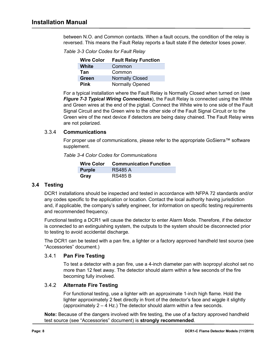between N.O. and Common contacts. When a fault occurs, the condition of the relay is reversed. This means the Fault Relay reports a fault state if the detector loses power.

*Table 3-3 Color Codes for Fault Relay*

| <b>Wire Color</b> | <b>Fault Relay Function</b> |
|-------------------|-----------------------------|
| White             | Common                      |
| Tan               | Common                      |
| <b>Green</b>      | <b>Normally Closed</b>      |
| <b>Pink</b>       | <b>Normally Opened</b>      |

For a typical installation where the Fault Relay is Normally Closed when turned on (see *[Figure 7-3 Typical Wiring Connections](#page-19-0)*), the Fault Relay is connected using the White and Green wires at the end of the pigtail. Connect the White wire to one side of the Fault Signal Circuit and the Green wire to the other side of the Fault Signal Circuit or to the Green wire of the next device if detectors are being daisy chained. The Fault Relay wires are not polarized.

#### 3.3.4 **Communications**

For proper use of communications, please refer to the appropriate GoSierra™ software supplement.

*Table 3-4 Color Codes for Communications*

|               | Wire Color Communication Function |
|---------------|-----------------------------------|
| <b>Purple</b> | <b>RS485 A</b>                    |
| Gray          | <b>RS485 B</b>                    |

#### <span id="page-13-0"></span>**3.4 Testing**

DCR1 installations should be inspected and tested in accordance with NFPA 72 standards and/or any codes specific to the application or location. Contact the local authority having jurisdiction and, if applicable, the company's safety engineer, for information on specific testing requirements and recommended frequency.

Functional testing a DCR1 will cause the detector to enter Alarm Mode. Therefore, if the detector is connected to an extinguishing system, the outputs to the system should be disconnected prior to testing to avoid accidental discharge.

The DCR1 can be tested with a pan fire, a lighter or a factory approved handheld test source (see "Accessories" document.)

#### 3.4.1 **Pan Fire Testing**

To test a detector with a pan fire, use a 4-inch diameter pan with isopropyl alcohol set no more than 12 feet away. The detector should alarm within a few seconds of the fire becoming fully involved.

#### 3.4.2 **Alternate Fire Testing**

For functional testing, use a lighter with an approximate 1-inch high flame. Hold the lighter approximately 2 feet directly in front of the detector's face and wiggle it slightly (approximately 2 – 4 Hz.) The detector should alarm within a few seconds.

**Note:** Because of the dangers involved with fire testing, the use of a factory approved handheld test source (see "Accessories" document) is **strongly recommended**.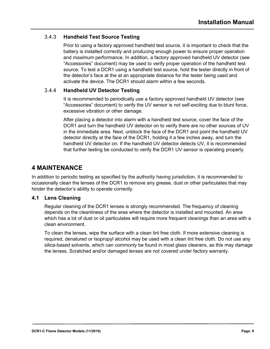#### 3.4.3 **Handheld Test Source Testing**

Prior to using a factory approved handheld test source, it is important to check that the battery is installed correctly and producing enough power to ensure proper operation and maximum performance. In addition, a factory approved handheld UV detector (see "Accessories" document) may be used to verify proper operation of the handheld test source. To test a DCR1 using a handheld test source, hold the tester directly in front of the detector's face at the at an appropriate distance for the tester being used and activate the device. The DCR1 should alarm within a few seconds.

#### <span id="page-14-2"></span>3.4.4 **Handheld UV Detector Testing**

It is recommended to periodically use a factory approved handheld UV detector (see "Accessories" document) to verify the UV sensor is not self-exciting due to blunt force, excessive vibration or other damage.

After placing a detector into alarm with a handheld test source, cover the face of the DCR1 and turn the handheld UV detector on to verify there are no other sources of UV in the immediate area. Next, unblock the face of the DCR1 and point the handheld UV detector directly at the face of the DCR1, holding it a few inches away, and turn the handheld UV detector on. If the handheld UV detector detects UV, it is recommended that further testing be conducted to verify the DCR1 UV sensor is operating properly.

# <span id="page-14-0"></span>**4 MAINTENANCE**

In addition to periodic testing as specified by the authority having jurisdiction, it is recommended to occasionally clean the lenses of the DCR1 to remove any grease, dust or other particulates that may hinder the detector's ability to operate correctly.

#### <span id="page-14-1"></span>**4.1 Lens Cleaning**

Regular cleaning of the DCR1 lenses is strongly recommended. The frequency of cleaning depends on the cleanliness of the area where the detector is installed and mounted. An area which has a lot of dust or oil particulates will require more frequent cleanings than an area with a clean environment.

To clean the lenses, wipe the surface with a clean lint free cloth. If more extensive cleaning is required, denatured or Isopropyl alcohol may be used with a clean lint free cloth. Do not use any silica-based solvents, which can commonly be found in most glass cleaners, as this may damage the lenses. Scratched and/or damaged lenses are not covered under factory warranty.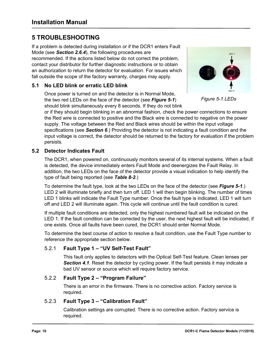# <span id="page-15-0"></span>**5 TROUBLESHOOTING**

If a problem is detected during installation or if the DCR1 enters Fault Mode (see *Section [2.6.4](#page-9-1)*), the following procedures are recommended. If the actions listed below do not correct the problem, contact your distributor for further diagnostic instructions or to obtain an authorization to return the detector for evaluation. For issues which fall outside the scope of the factory warranty, charges may apply.

#### <span id="page-15-1"></span>**5.1 No LED blink or erratic LED blink**

Once power is turned on and the detector is in Normal Mode, the two red LEDs on the face of the detector (see *[Figure 5-1](#page-15-3)*) should blink simultaneously every 8 seconds. If they do not blink

<span id="page-15-3"></span>

*Figure 5-1 LEDs*

or if they should begin blinking in an abnormal fashion, check the power connections to ensure the Red wire is connected to positive and the Black wire is connected to negative on the power supply. The voltage between the Red and Black wires should be within the input voltage specifications (see *Section [6](#page-17-0)*.) Providing the detector is not indicating a fault condition and the input voltage is correct, the detector should be returned to the factory for evaluation if the problem persists.

#### <span id="page-15-2"></span>**5.2 Detector Indicates Fault**

The DCR1, when powered on, continuously monitors several of its internal systems. When a fault is detected, the device immediately enters Fault Mode and deenergizes the Fault Relay. In addition, the two LEDs on the face of the detector provide a visual indication to help identify the type of fault being reported (see *[Table 8-2](#page-20-2)*.)

To determine the fault type, look at the two LEDs on the face of the detector (see *[Figure 5-1](#page-15-3)*.) LED 2 will illuminate briefly and then turn off. LED 1 will then begin blinking. The number of times LED 1 blinks will indicate the Fault Type number. Once the fault type is indicated, LED 1 will turn off and LED 2 will illuminate again. This cycle will continue until the fault condition is cured.

If multiple fault conditions are detected, only the highest numbered fault will be indicated on the LED 1. If the fault condition can be corrected by the user, the next highest fault will be indicated, if one exists. Once all faults have been cured, the DCR1 should enter Normal Mode.

To determine the best course of action to resolve a fault condition, use the Fault Type number to reference the appropriate section below.

#### 5.2.1 **Fault Type 1 – "UV Self-Test Fault"**

This fault only applies to detectors with the Optical Self-Test feature. Clean lenses per *Section [4.1](#page-14-1)*. Reset the detector by cycling power. If the fault persists it may indicate a bad UV sensor or source which will require factory service.

#### 5.2.2 **Fault Type 2 – "Program Failure"**

There is an error in the firmware. There is no corrective action. Factory service is required.

#### 5.2.3 **Fault Type 3 – "Calibration Fault"**

Calibration settings are corrupted. There is no corrective action. Factory service is required.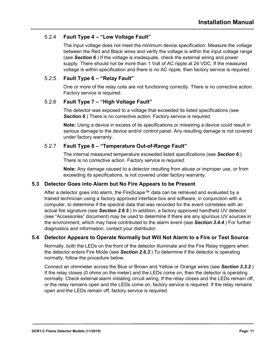#### 5.2.4 **Fault Type 4 – "Low Voltage Fault"**

The input voltage does not meet the minimum device specification. Measure the voltage between the Red and Black wires and verify the voltage is within the input voltage range (see *Section [6](#page-17-0)*.) If the voltage is inadequate, check the external wiring and power supply. There should not be more than 1 Volt of AC ripple at 24 VDC. If the measured voltage is within specification and there is no AC ripple, then factory service is required.

#### 5.2.5 **Fault Type 6 – "Relay Fault"**

One or more of the relay coils are not functioning correctly. There is no corrective action. Factory service is required.

#### 5.2.6 **Fault Type 7 – "High Voltage Fault"**

The detector was exposed to a voltage that exceeded its listed specifications (see **Section [6](#page-17-0)**.) There is no corrective action. Factory service is required.

**Note:** Using a device in excess of its specifications or miswiring a device could result in serious damage to the device and/or control panel. Any resulting damage is not covered under factory warranty.

#### 5.2.7 **Fault Type 8 – "Temperature Out-of-Range Fault"**

The internal measured temperature exceeded listed specifications (see *Section [6](#page-17-0)*.) There is no corrective action. Factory service is required.

**Note:** Any damage caused to a detector resulting from abuse or improper use, or from exceeding its specifications, is not covered under factory warranty.

#### <span id="page-16-0"></span>**5.3 Detector Goes into Alarm but No Fire Appears to be Present**

After a detector goes into alarm, the FireScape™ data can be retrieved and evaluated by a trained technician using a factory approved interface box and software, in conjunction with a computer, to determine if the spectral data that was recorded for the event correlates with an actual fire signature (see *Section [2.6.5](#page-10-1)*.) In addition, a factory approved handheld UV detector (see "Accessories" document) may be used to determine if there are any spurious UV sources in the environment, which may have contributed to the alarm event (see *Section [3.4.4](#page-14-2)*.) For further diagnostics and information, contact your distributor.

#### <span id="page-16-1"></span>**5.4 Detector Appears to Operate Normally but Will Not Alarm to a Fire or Test Source**

Normally, both the LEDs on the front of the detector illuminate and the Fire Relay triggers when the detector enters Fire Mode (see *Section [2.6.3](#page-9-2)*.) To determine if the detector is operating normally, follow the procedure below.

Connect an ohmmeter across the Blue or Brown and Yellow or Orange wires (see *Section [3.3.2](#page-12-0)*.) If the relay closes (0 ohms on the meter) and the LEDs come on, then the detector is operating normally. Check external alarm initiating circuit wiring. If the relay closes and the LEDs remain off, or the relay remains open and the LEDs come on, factory service is required. If the relay remains open and the LEDs remain off, factory service is required.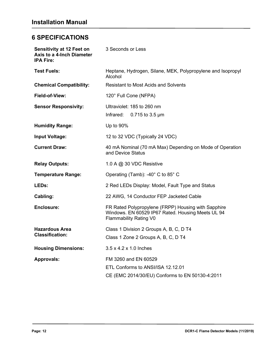# <span id="page-17-0"></span>**6 SPECIFICATIONS**

| <b>Sensitivity at 12 Feet on</b><br><b>Axis to a 4-Inch Diameter</b><br><b>IPA Fire:</b> | 3 Seconds or Less                                                                                                                         |  |  |
|------------------------------------------------------------------------------------------|-------------------------------------------------------------------------------------------------------------------------------------------|--|--|
| <b>Test Fuels:</b>                                                                       | Heptane, Hydrogen, Silane, MEK, Polypropylene and Isopropyl<br>Alcohol                                                                    |  |  |
| <b>Chemical Compatibility:</b>                                                           | <b>Resistant to Most Acids and Solvents</b>                                                                                               |  |  |
| Field-of-View:                                                                           | 120° Full Cone (NFPA)                                                                                                                     |  |  |
| <b>Sensor Responsivity:</b>                                                              | Ultraviolet: 185 to 260 nm<br>Infrared:<br>$0.715$ to 3.5 µm                                                                              |  |  |
| <b>Humidity Range:</b>                                                                   | Up to 90%                                                                                                                                 |  |  |
| <b>Input Voltage:</b>                                                                    | 12 to 32 VDC (Typically 24 VDC)                                                                                                           |  |  |
| <b>Current Draw:</b>                                                                     | 40 mA Nominal (70 mA Max) Depending on Mode of Operation<br>and Device Status                                                             |  |  |
| <b>Relay Outputs:</b>                                                                    | 1.0 A @ 30 VDC Resistive                                                                                                                  |  |  |
| <b>Temperature Range:</b>                                                                | Operating (Tamb): -40° C to 85° C                                                                                                         |  |  |
| LEDs:                                                                                    | 2 Red LEDs Display: Model, Fault Type and Status                                                                                          |  |  |
| Cabling:                                                                                 | 22 AWG, 14 Conductor FEP Jacketed Cable                                                                                                   |  |  |
| <b>Enclosure:</b>                                                                        | FR Rated Polypropylene (FRPP) Housing with Sapphire<br>Windows. EN 60529 IP67 Rated. Housing Meets UL 94<br><b>Flammability Rating V0</b> |  |  |
| <b>Hazardous Area</b><br><b>Classification:</b>                                          | Class 1 Division 2 Groups A, B, C, D T4<br>Class 1 Zone 2 Groups A, B, C, D T4                                                            |  |  |
| <b>Housing Dimensions:</b>                                                               | 3.5 x 4.2 x 1.0 Inches                                                                                                                    |  |  |
| <b>Approvals:</b>                                                                        | FM 3260 and EN 60529<br>ETL Conforms to ANSI/ISA 12.12.01<br>CE (EMC 2014/30/EU) Conforms to EN 50130-4:2011                              |  |  |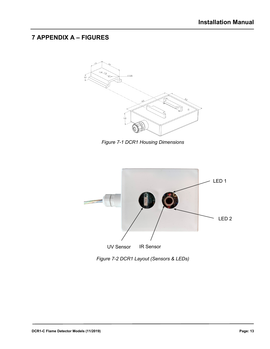# <span id="page-18-0"></span>**7 APPENDIX A – FIGURES**



*Figure 7-1 DCR1 Housing Dimensions*

<span id="page-18-2"></span>

<span id="page-18-1"></span>*Figure 7-2 DCR1 Layout (Sensors & LEDs)*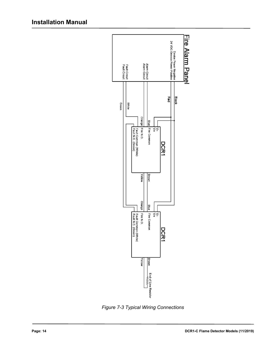

<span id="page-19-0"></span>*Figure 7-3 Typical Wiring Connections*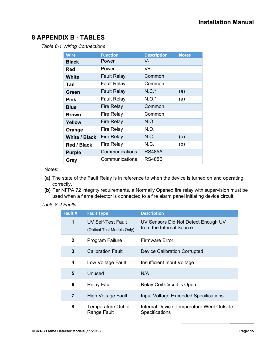# <span id="page-20-1"></span><span id="page-20-0"></span>**8 APPENDIX B - TABLES**

*Table 8-1 Wiring Connections*

| <b>Wire</b>          | <b>Function</b>    | <b>Description</b> | <b>Notes</b> |
|----------------------|--------------------|--------------------|--------------|
| <b>Black</b>         | Power              | V-                 |              |
| Red                  | Power              | V+                 |              |
| <b>White</b>         | <b>Fault Relay</b> | Common             |              |
| Tan                  | <b>Fault Relay</b> | Common             |              |
| Green                | <b>Fault Relay</b> | $N.C.*$            | (a)          |
| Pink                 | <b>Fault Relay</b> | $N.O.*$            | (a)          |
| <b>Blue</b>          | <b>Fire Relay</b>  | Common             |              |
| <b>Brown</b>         | <b>Fire Relay</b>  | Common             |              |
| Yellow               | <b>Fire Relay</b>  | N.O.               |              |
| Orange               | <b>Fire Relay</b>  | N.O.               |              |
| <b>White / Black</b> | <b>Fire Relay</b>  | N.C.               | (b)          |
| Red / Black          | <b>Fire Relay</b>  | N.C.               | (b)          |
| <b>Purple</b>        | Communications     | <b>RS485A</b>      |              |
| Grey                 | Communications     | <b>RS485B</b>      |              |

Notes:

- **(a)** The state of the Fault Relay is in reference to when the device is turned on and operating correctly.
- **(b)** Per NFPA 72 integrity requirements, a Normally Opened fire relay with supervision must be used when a flame detector is connected to a fire alarm panel initiating device circuit.

#### <span id="page-20-2"></span>*Table 8-2 Faults*

| Fault #      | <b>Fault Type</b>                                | <b>Description</b>                                                |
|--------------|--------------------------------------------------|-------------------------------------------------------------------|
| 1            | UV Self-Test Fault<br>(Optical Test Models Only) | UV Sensors Did Not Detect Enough UV<br>from the Internal Source   |
| $\mathbf{2}$ | Program Failure                                  | Firmware Error                                                    |
| 3            | <b>Calibration Fault</b>                         | <b>Device Calibration Corrupted</b>                               |
| 4            | Low Voltage Fault                                | Insufficient Input Voltage                                        |
| 5            | Unused                                           | N/A                                                               |
| 6            | <b>Relay Fault</b>                               | Relay Coil Circuit is Open                                        |
| 7            | <b>High Voltage Fault</b>                        | <b>Input Voltage Exceeded Specifications</b>                      |
| 8            | Temperature Out of<br>Range Fault                | Internal Device Temperature Went Outside<br><b>Specifications</b> |